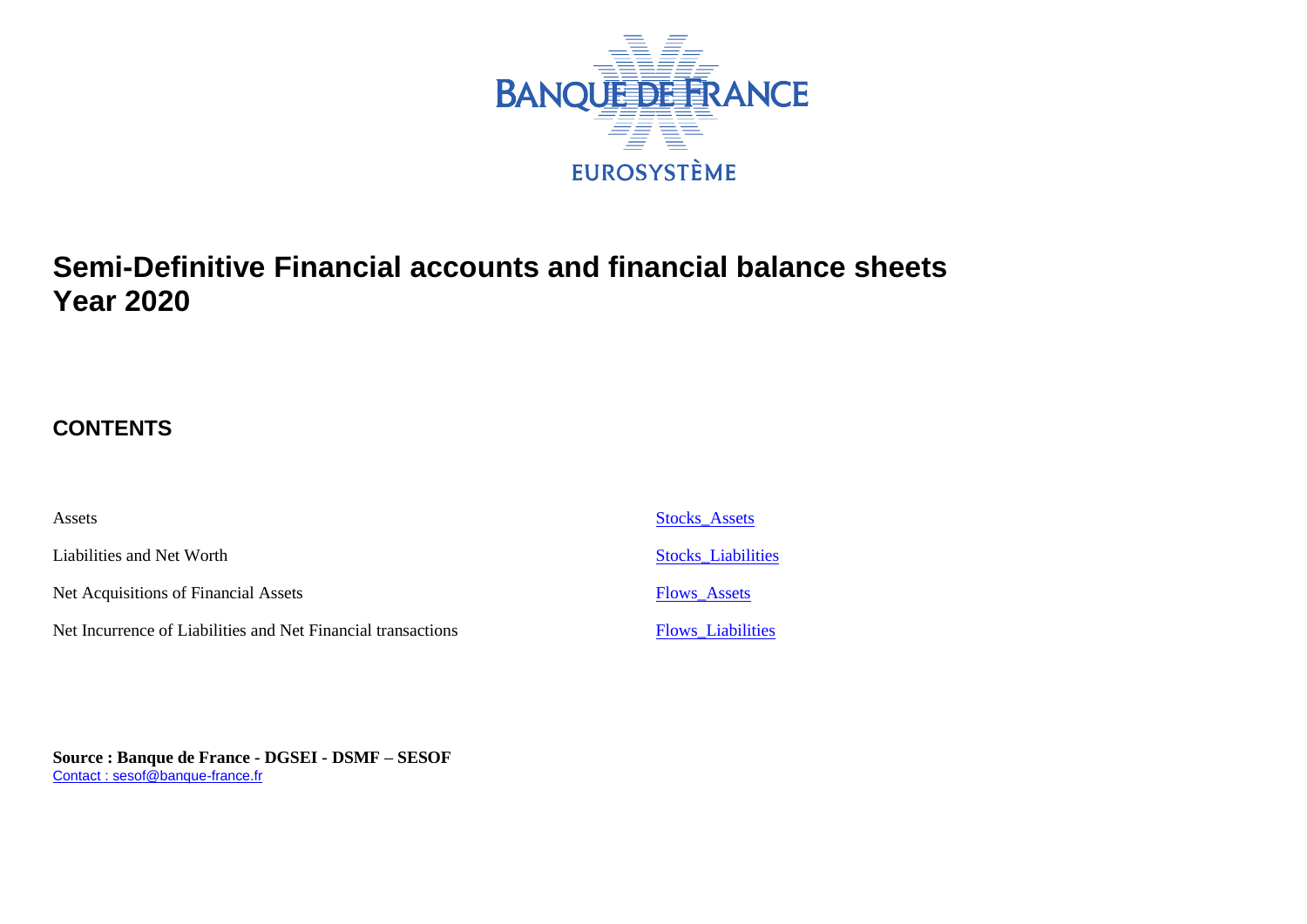

# **Semi-Definitive Financial accounts and financial balance sheets Year 2020**

## **CONTENTS**

| Assets                                                       | <b>Stocks Assets</b>      |
|--------------------------------------------------------------|---------------------------|
| Liabilities and Net Worth                                    | <b>Stocks</b> Liabilities |
| Net Acquisitions of Financial Assets                         | <b>Flows Assets</b>       |
| Net Incurrence of Liabilities and Net Financial transactions | <b>Flows</b> Liabilities  |

**Source : Banque de France - DGSEI - DSMF – SESOF** [Contact : sesof@banque-france.fr](mailto:sesof@banque-france.fr)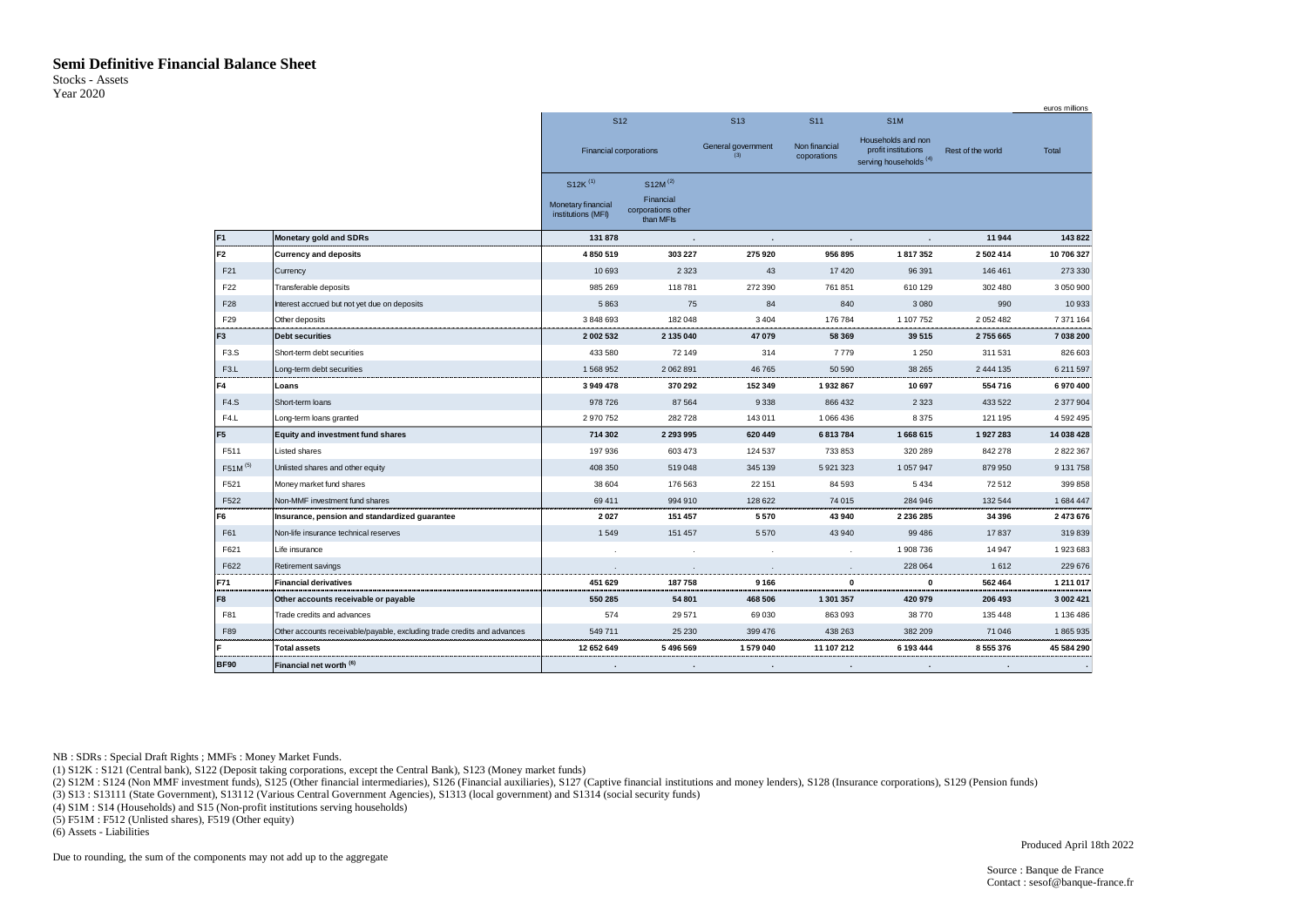### **Semi Definitive Financial Balance Sheet**

<span id="page-1-0"></span>Stocks - Assets Year 2020

|                     |                                                                         |                                          |                                              |                           |                              |                                                                                |                   | <b>BULOS THILIOTIS</b> |
|---------------------|-------------------------------------------------------------------------|------------------------------------------|----------------------------------------------|---------------------------|------------------------------|--------------------------------------------------------------------------------|-------------------|------------------------|
|                     |                                                                         | S <sub>12</sub>                          |                                              | S <sub>13</sub>           | S <sub>11</sub>              | S <sub>1</sub> M                                                               |                   |                        |
|                     |                                                                         | <b>Financial corporations</b>            |                                              | General government<br>(3) | Non financial<br>coporations | Households and non<br>profit institutions<br>serving households <sup>(4)</sup> | Rest of the world | Total                  |
|                     |                                                                         | $S12K$ <sup>(1)</sup>                    | $S12M^{(2)}$                                 |                           |                              |                                                                                |                   |                        |
|                     |                                                                         | Monetary financial<br>institutions (MFI) | Financial<br>corporations other<br>than MFIs |                           |                              |                                                                                |                   |                        |
| F <sub>1</sub>      | Monetary gold and SDRs                                                  | 131 878                                  |                                              | ٠                         |                              |                                                                                | 11944             | 143 822                |
| F <sub>2</sub>      | <b>Currency and deposits</b>                                            | 4 850 519                                | 303 227                                      | 275 920                   | 956 895                      | 1817352                                                                        | 2 502 414         | 10 706 327             |
| F <sub>21</sub>     | Currency                                                                | 10 693                                   | 2 3 2 3                                      | 43                        | 17 4 20                      | 96 391                                                                         | 146 461           | 273 330                |
| F <sub>22</sub>     | Transferable deposits                                                   | 985 269                                  | 118781                                       | 272 390                   | 761 851                      | 610 129                                                                        | 302 480           | 3 050 900              |
| F28                 | Interest accrued but not yet due on deposits                            | 5863                                     | 75                                           | 84                        | 840                          | 3 0 8 0                                                                        | 990               | 10933                  |
| F <sub>29</sub>     | Other deposits                                                          | 3 848 693                                | 182 048                                      | 3 4 0 4                   | 176 784                      | 1 107 752                                                                      | 2 052 482         | 7 371 164              |
| F <sub>3</sub>      | <b>Debt securities</b>                                                  | 2 002 532                                | 2 135 040                                    | 47 079                    | 58 369                       | 39 515                                                                         | 2755665           | 7 038 200              |
| F <sub>3.</sub> S   | Short-term debt securities                                              | 433 580                                  | 72 149                                       | 314                       | 7779                         | 1 2 5 0                                                                        | 311 531           | 826 603                |
| F <sub>3</sub> .L   | Long-term debt securities                                               | 1568952                                  | 2 062 891                                    | 46765                     | 50 590                       | 38 265                                                                         | 2 444 135         | 6 211 597              |
| F4                  | Loans                                                                   | 3 949 478                                | 370 292                                      | 152 349                   | 1932867                      | 10 697                                                                         | 554 716           | 6970400                |
| F4.S                | Short-term loans                                                        | 978 726                                  | 87 564                                       | 9 3 3 8                   | 866 432                      | 2 3 2 3                                                                        | 433 522           | 2 377 904              |
| F4.L                | Long-term loans granted                                                 | 2970752                                  | 282728                                       | 143 011                   | 1 066 436                    | 8375                                                                           | 121 195           | 4 592 495              |
| F <sub>5</sub>      | <b>Equity and investment fund shares</b>                                | 714 302                                  | 2 293 995                                    | 620 449                   | 6813784                      | 1668615                                                                        | 1927283           | 14 038 428             |
| F511                | Listed shares                                                           | 197 936                                  | 603 473                                      | 124 537                   | 733 853                      | 320 289                                                                        | 842 278           | 2 822 367              |
| F51M <sup>(5)</sup> | Unlisted shares and other equity                                        | 408 350                                  | 519048                                       | 345 139                   | 5921323                      | 1057947                                                                        | 879 950           | 9 131 758              |
| F521                | Money market fund shares                                                | 38 604                                   | 176 563                                      | 22 151                    | 84 593                       | 5434                                                                           | 72512             | 399 858                |
| F522                | Non-MMF investment fund shares                                          | 69 411                                   | 994 910                                      | 128 622                   | 74 015                       | 284 946                                                                        | 132 544           | 1 684 447              |
| F6                  | Insurance, pension and standardized guarantee                           | 2027                                     | 151 457                                      | 5570                      | 43 940                       | 2 2 3 6 2 8 5                                                                  | 34 396            | 2 473 676              |
| F61                 | Non-life insurance technical reserves                                   | 1549                                     | 151 457                                      | 5570                      | 43 940                       | 99 48 6                                                                        | 17837             | 319839                 |
| F621                | Life insurance                                                          |                                          | $\cdot$                                      | $\overline{\phantom{a}}$  | <b>.</b>                     | 1908 736                                                                       | 14 947            | 1923683                |
| F622                | Retirement savings                                                      |                                          |                                              |                           |                              | 228 064                                                                        | 1612              | 229 676                |
| F71                 | <b>Financial derivatives</b>                                            | 451 629                                  | 187758                                       | 9 1 6 6                   |                              | $\mathbf 0$<br>0                                                               | 562 464           | 1 211 017              |
| F8                  | Other accounts receivable or payable                                    | 550 285                                  | 54 801                                       | 468 506                   | 1 301 357                    | 420 979                                                                        | 206 493           | 3 002 421              |
| F81                 | Trade credits and advances                                              | 574                                      | 29571                                        | 69 030                    | 863 093                      | 38770                                                                          | 135 448           | 1 136 486              |
| F89                 | Other accounts receivable/payable, excluding trade credits and advances | 549711                                   | 25 2 30                                      | 399 476                   | 438 263                      | 382 209                                                                        | 71 046            | 1865935                |
| F                   | <b>Total assets</b>                                                     | 12 652 649                               | 5496569                                      | 1579040                   | 11 107 212                   | 6 193 444                                                                      | 8 555 376         | 45 584 290             |
| <b>BF90</b>         | Financial net worth <sup>(6)</sup>                                      |                                          |                                              | $\ddot{\phantom{a}}$      |                              |                                                                                |                   |                        |

NB : SDRs : Special Draft Rights ; MMFs : Money Market Funds.

(1) S12K : S121 (Central bank), S122 (Deposit taking corporations, except the Central Bank), S123 (Money market funds)

(2) S12M : S124 (Non MMF investment funds), S125 (Other financial intermediaries), S126 (Financial auxiliaries), S127 (Captive financial institutions and money lenders), S128 (Insurance corporations), S129 (Pension funds)

(3) S13 : S13111 (State Government), S13112 (Various Central Government Agencies), S1313 (local government) and S1314 (social security funds)

(4) S1M : S14 (Households) and S15 (Non-profit institutions serving households)

(5) F51M : F512 (Unlisted shares), F519 (Other equity)

(6) Assets - Liabilities

Due to rounding, the sum of the components may not add up to the aggregate

Produced April 18th 2022

euros millions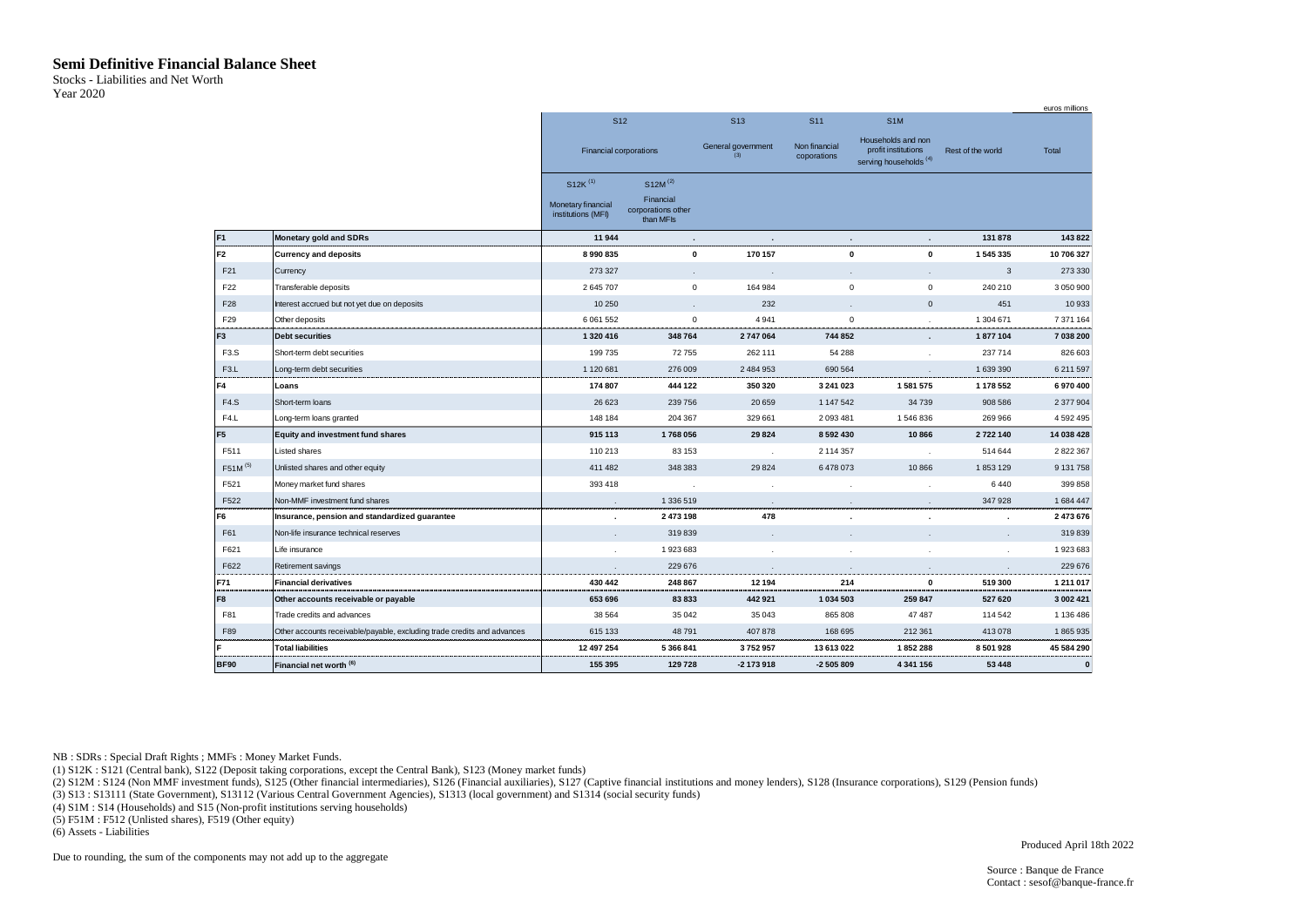#### **Semi Definitive Financial Balance Sheet**

<span id="page-2-0"></span>Stocks - Liabilities and Net Worth Year 2020

|                     |                                                                         |                                          |                                              |                           |                              |                                                                     |                   | euros millions |
|---------------------|-------------------------------------------------------------------------|------------------------------------------|----------------------------------------------|---------------------------|------------------------------|---------------------------------------------------------------------|-------------------|----------------|
|                     |                                                                         | S <sub>12</sub>                          |                                              | S <sub>13</sub>           | S <sub>11</sub>              | S <sub>1</sub> M                                                    |                   |                |
|                     |                                                                         | Financial corporations                   |                                              | General government<br>(3) | Non financial<br>coporations | Households and non<br>profit institutions<br>serving households (4) | Rest of the world | Total          |
|                     |                                                                         | $S12K$ <sup>(1)</sup>                    | $S12M^{(2)}$                                 |                           |                              |                                                                     |                   |                |
|                     |                                                                         | Monetary financial<br>institutions (MFI) | Financial<br>corporations other<br>than MFIs |                           |                              |                                                                     |                   |                |
| F <sub>1</sub>      | <b>Monetary gold and SDRs</b>                                           | 11944                                    | $\epsilon$                                   |                           | $\mathbf{r}$                 | $\mathbf{r}$                                                        | 131 878           | 143822         |
| F2                  | <b>Currency and deposits</b>                                            | 8990835                                  | 0                                            | 170 157                   | $\mathbf 0$                  | $\mathbf{0}$                                                        | 1 545 335         | 10 706 327     |
| F <sub>21</sub>     | Currency                                                                | 273 327                                  |                                              |                           | $\mathbf{r}$                 |                                                                     | 3                 | 273 330        |
| F <sub>22</sub>     | Transferable deposits                                                   | 2 645 707                                | 0                                            | 164 984                   | $\mathbf 0$                  | $\mathsf 0$                                                         | 240 210           | 3 050 900      |
| F <sub>28</sub>     | Interest accrued but not yet due on deposits                            | 10 250                                   |                                              | 232                       | $\mathbf{r}$                 | $\mathbf{0}$                                                        | 451               | 10933          |
| F <sub>29</sub>     | Other deposits                                                          | 6 0 61 5 52                              | $\mathsf 0$                                  | 4941                      | $\mathsf 0$                  |                                                                     | 1 304 671         | 7 371 164      |
| F <sub>3</sub>      | <b>Debt securities</b>                                                  | 1 320 416                                | 348764                                       | 2747064                   | 744 852                      | $\sim$                                                              | 1877104           | 7 038 200      |
| F <sub>3.</sub> S   | Short-term debt securities                                              | 199735                                   | 72755                                        | 262 111                   | 54 288                       |                                                                     | 237714            | 826 603        |
| F <sub>3</sub> .L   | Long-term debt securities                                               | 1 120 681                                | 276 009                                      | 2 484 953                 | 690 564                      |                                                                     | 1 639 390         | 6 211 597      |
| F4                  | Loans                                                                   | 174 807                                  | 444 122                                      | 350 320                   | 3 241 023                    | 1 581 575                                                           | 1 178 552         | 6970400        |
| F4.S                | Short-term loans                                                        | 26 6 23                                  | 239 756                                      | 20 659                    | 1 147 542                    | 34739                                                               | 908 586           | 2 377 904      |
| F4.L                | Long-term loans granted                                                 | 148 184                                  | 204 367                                      | 329 661                   | 2093481                      | 1546836                                                             | 269 966           | 4 5 9 2 4 9 5  |
| F <sub>5</sub>      | <b>Equity and investment fund shares</b>                                | 915 113                                  | 1768056                                      | 29824                     | 8592430                      | 10866                                                               | 2722140           | 14 038 428     |
| F511                | Listed shares                                                           | 110 213                                  | 83 153                                       |                           | 2 114 357                    |                                                                     | 514 644           | 2 822 367      |
| F51M <sup>(5)</sup> | Unlisted shares and other equity                                        | 411 482                                  | 348 383                                      | 29 8 24                   | 6478073                      | 10866                                                               | 1853129           | 9 131 758      |
| F521                | Money market fund shares                                                | 393 418                                  |                                              |                           |                              |                                                                     | 6440              | 399 858        |
| F522                | Non-MMF investment fund shares                                          | $\cdot$                                  | 1 336 519                                    |                           |                              |                                                                     | 347928            | 1684447        |
| F <sub>6</sub>      | Insurance, pension and standardized guarantee                           |                                          | 2 473 198                                    | 478                       |                              | $\epsilon$                                                          | $\cdot$           | 2 473 676      |
| F61                 | Non-life insurance technical reserves                                   |                                          | 319839                                       |                           |                              |                                                                     |                   | 319839         |
| F621                | Life insurance                                                          |                                          | 1923683                                      |                           |                              |                                                                     |                   | 1923683        |
| F622                | Retirement savings                                                      |                                          | 229 676                                      |                           |                              |                                                                     |                   | 229 676        |
| F71                 | <b>Financial derivatives</b>                                            | 430 442                                  | 248 867                                      | 12 194                    | 214                          | $\mathbf 0$                                                         | 519 300           | 1 211 017      |
| F8                  | Other accounts receivable or payable                                    | 653 696                                  | 83833                                        | 442 921                   | 1 034 503                    | 259 847                                                             | 527 620           | 3 002 421      |
| F81                 | Trade credits and advances                                              | 38 5 64                                  | 35 042                                       | 35 043                    | 865 808                      | 47 487                                                              | 114 542           | 1 136 486      |
| F89                 | Other accounts receivable/payable, excluding trade credits and advances | 615 133                                  | 48791                                        | 407 878                   | 168 695                      | 212 361                                                             | 413 078           | 1865935        |
| F                   | <b>Total liabilities</b>                                                | 12 497 254                               | 5 366 841                                    | 3752957                   | 13 613 022                   | 1852288                                                             | 8 501 928         | 45 584 290     |
| <b>BF90</b>         | Financial net worth (6)                                                 | 155 395                                  | 129728                                       | $-2$ 173 918              | -2 505 809                   | 4 341 156                                                           | 53 4 48           | $\bf{0}$       |

NB : SDRs : Special Draft Rights ; MMFs : Money Market Funds.

(1) S12K : S121 (Central bank), S122 (Deposit taking corporations, except the Central Bank), S123 (Money market funds)

(2) S12M : S124 (Non MMF investment funds), S125 (Other financial intermediaries), S126 (Financial auxiliaries), S127 (Captive financial institutions and money lenders), S128 (Insurance corporations), S129 (Pension funds)

(3) S13 : S13111 (State Government), S13112 (Various Central Government Agencies), S1313 (local government) and S1314 (social security funds)

(4) S1M : S14 (Households) and S15 (Non-profit institutions serving households)

(5) F51M : F512 (Unlisted shares), F519 (Other equity)

(6) Assets - Liabilities

Due to rounding, the sum of the components may not add up to the aggregate

Produced April 18th 2022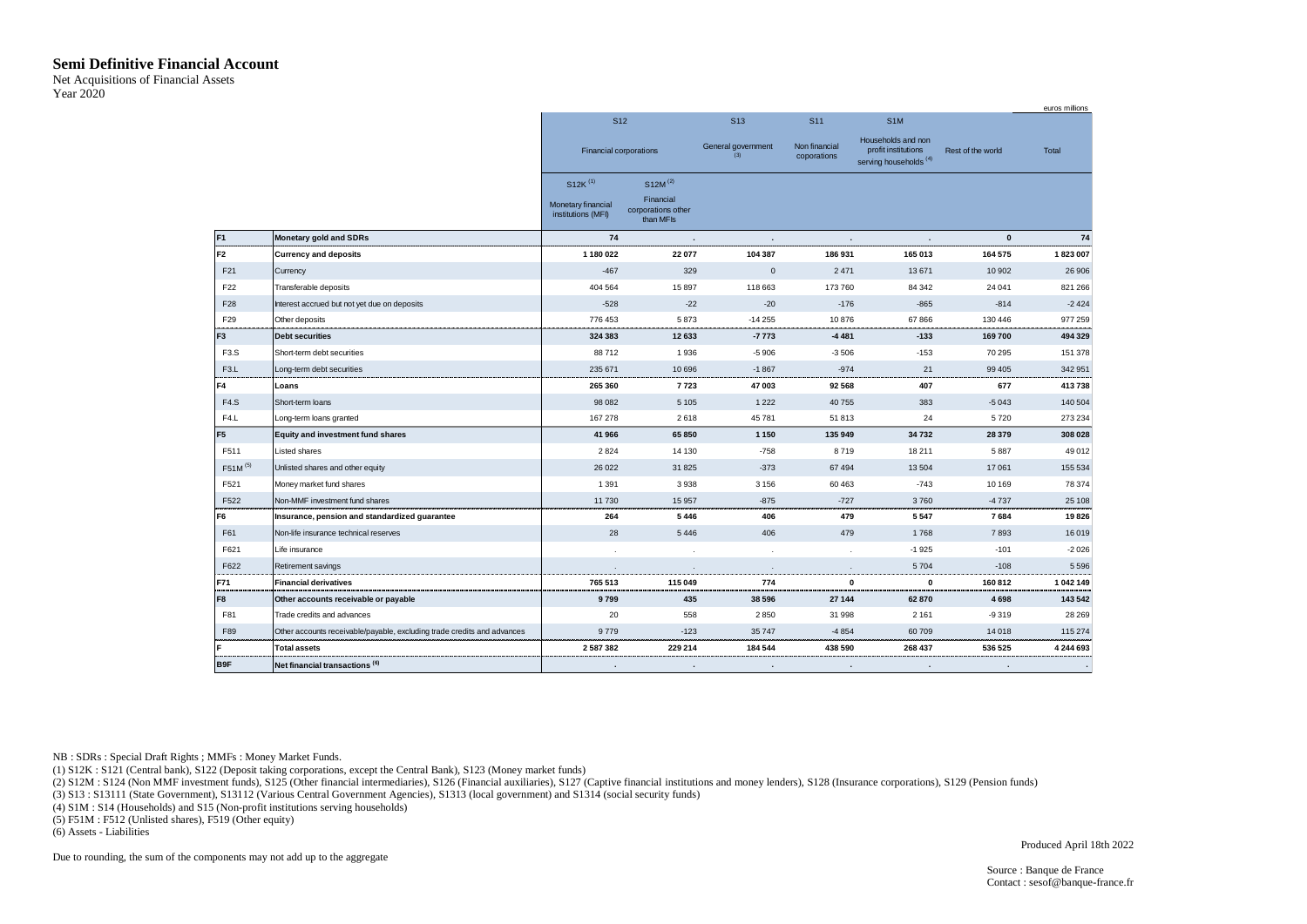#### **Semi Definitive Financial Account**

<span id="page-3-0"></span>Net Acquisitions of Financial Assets Year 2020

|                     |                                                                         |                                          |                                                          |                           |                              |                                                                                |                      | euros millions |
|---------------------|-------------------------------------------------------------------------|------------------------------------------|----------------------------------------------------------|---------------------------|------------------------------|--------------------------------------------------------------------------------|----------------------|----------------|
|                     |                                                                         | S <sub>12</sub>                          |                                                          | S <sub>13</sub>           | S <sub>11</sub>              | S <sub>1</sub> M                                                               |                      |                |
|                     |                                                                         | Financial corporations                   |                                                          | General government<br>(3) | Non financial<br>coporations | Households and non<br>profit institutions<br>serving households <sup>(4)</sup> | Rest of the world    | Total          |
|                     |                                                                         | $S12K$ <sup>(1)</sup>                    | $S12M^{(2)}$                                             |                           |                              |                                                                                |                      |                |
|                     |                                                                         | Monetary financial<br>institutions (MFI) | Financial<br>corporations other<br>than MF <sub>Is</sub> |                           |                              |                                                                                |                      |                |
| F <sub>1</sub>      | <b>Monetary gold and SDRs</b>                                           | 74                                       | $\cdot$                                                  | $\sim$                    | $\ddot{\phantom{a}}$         | $\ddot{\phantom{a}}$                                                           | $\pmb{0}$            | 74             |
| IF2                 | <b>Currency and deposits</b>                                            | 1 180 022                                | 22 077                                                   | 104 387                   | 186 931                      | 165 013                                                                        | 164 575              | 1823007        |
| F21                 | Currency                                                                | $-467$                                   | 329                                                      | $\mathsf{O}\xspace$       | 2 4 7 1                      | 13 671                                                                         | 10 902               | 26 906         |
| F <sub>22</sub>     | Transferable deposits                                                   | 404 564                                  | 15897                                                    | 118 663                   | 173 760                      | 84 342                                                                         | 24 041               | 821 266        |
| F28                 | Interest accrued but not yet due on deposits                            | $-528$                                   | $-22$                                                    | $-20$                     | $-176$                       | $-865$                                                                         | $-814$               | $-2424$        |
| F <sub>29</sub>     | Other deposits                                                          | 776 453                                  | 5873                                                     | $-14255$                  | 10876                        | 67866                                                                          | 130 446              | 977 259        |
| F <sub>3</sub>      | <b>Debt securities</b>                                                  | 324 383                                  | 12633                                                    | $-7773$                   | -4 4 8 1                     | $-133$                                                                         | 169700               | 494 329        |
| F <sub>3</sub> .S   | Short-term debt securities                                              | 88712                                    | 1936                                                     | $-5906$                   | $-3506$                      | $-153$                                                                         | 70 295               | 151 378        |
| F <sub>3</sub> .L   | Long-term debt securities                                               | 235 671                                  | 10 6 96                                                  | $-1867$                   | $-974$                       | 21                                                                             | 99 40 5              | 342 951        |
| IF4                 | Loans                                                                   | 265 360                                  | 7723                                                     | 47 003                    | 92 568                       | 407                                                                            | 677                  | 413738         |
| F4.S                | Short-term loans                                                        | 98 082                                   | 5 1 0 5                                                  | 1 2 2 2                   | 40 755                       | 383                                                                            | $-5043$              | 140 504        |
| F4.L                | Long-term loans granted                                                 | 167 278                                  | 2618                                                     | 45 781                    | 51813                        | 24                                                                             | 5720                 | 273 234        |
| F <sub>5</sub>      | Equity and investment fund shares                                       | 41 966                                   | 65 850                                                   | 1 1 5 0                   | 135 949                      | 34732                                                                          | 28 379               | 308 028        |
| F511                | Listed shares                                                           | 2824                                     | 14 130                                                   | $-758$                    | 8719                         | 18 211                                                                         | 5887                 | 49 012         |
| F51M <sup>(5)</sup> | Unlisted shares and other equity                                        | 26 0 22                                  | 31 8 25                                                  | $-373$                    | 67 494                       | 13504                                                                          | 17 061               | 155 534        |
| F521                | Money market fund shares                                                | 1 3 9 1                                  | 3938                                                     | 3 1 5 6                   | 60 463                       | $-743$                                                                         | 10 169               | 78 374         |
| F522                | Non-MMF investment fund shares                                          | 11730                                    | 15957                                                    | $-875$                    | $-727$                       | 3760                                                                           | $-4737$              | 25 108         |
| F <sub>6</sub>      | Insurance, pension and standardized guarantee                           | 264                                      | 5446                                                     | 406                       | 479                          | 5547                                                                           | 7684                 | 19826          |
| F61                 | Non-life insurance technical reserves                                   | 28                                       | 5446                                                     | 406                       | 479                          | 1768                                                                           | 7893                 | 16019          |
| F621                | Life insurance                                                          |                                          |                                                          |                           |                              | $-1925$                                                                        | $-101$               | $-2026$        |
| F622                | Retirement savings                                                      | $\cdot$                                  | $\cdot$                                                  | $\blacksquare$            | $\sim$                       | 5704                                                                           | $-108$               | 5596           |
| F71                 | <b>Financial derivatives</b>                                            | 765 513                                  | 115 049                                                  | 774                       | 0                            | $\mathbf 0$                                                                    | 160812               | 1 042 149      |
| F <sub>8</sub>      | Other accounts receivable or payable                                    | 9799                                     | 435                                                      | 38 596                    | 27 144                       | 62870                                                                          | 4698                 | 143 542        |
| F81                 | Trade credits and advances                                              | 20                                       | 558                                                      | 2850                      | 31 998                       | 2 1 6 1                                                                        | $-9319$              | 28 26 9        |
| F89                 | Other accounts receivable/payable, excluding trade credits and advances | 9779                                     | $-123$                                                   | 35 747                    | $-4854$                      | 60709                                                                          | 14 018               | 115 274        |
| lF.                 | <b>Total assets</b>                                                     | 2 5 8 7 3 8 2                            | 229 214                                                  | 184 544                   | 438 590                      | 268 437                                                                        | 536 525              | 4 244 693      |
| B9F                 | Net financial transactions <sup>(6)</sup>                               | $\mathbf{r}$                             | $\mathbf{r}$                                             | $\cdot$                   | $\ddot{\phantom{a}}$         | $\cdot$                                                                        | $\ddot{\phantom{a}}$ |                |

NB : SDRs : Special Draft Rights ; MMFs : Money Market Funds.

(1) S12K : S121 (Central bank), S122 (Deposit taking corporations, except the Central Bank), S123 (Money market funds)

(2) S12M : S124 (Non MMF investment funds), S125 (Other financial intermediaries), S126 (Financial auxiliaries), S127 (Captive financial institutions and money lenders), S128 (Insurance corporations), S129 (Pension funds)

(3) S13 : S13111 (State Government), S13112 (Various Central Government Agencies), S1313 (local government) and S1314 (social security funds)

(4) S1M : S14 (Households) and S15 (Non-profit institutions serving households)

(5) F51M : F512 (Unlisted shares), F519 (Other equity)

(6) Assets - Liabilities

Due to rounding, the sum of the components may not add up to the aggregate

Produced April 18th 2022

Source : Banque de France Contact : sesof@banque-france.fr